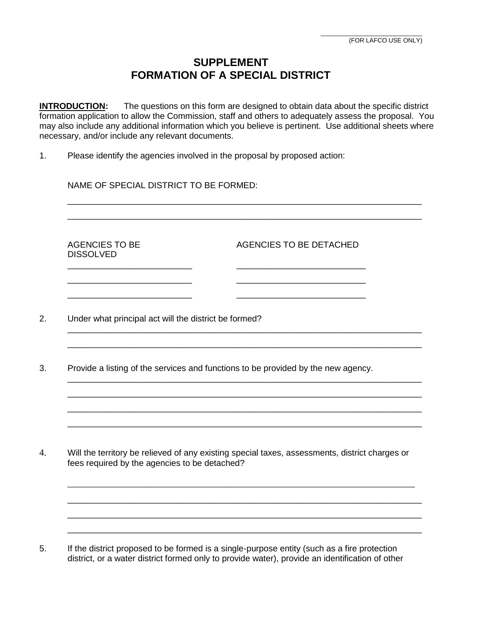## **SUPPLEMENT FORMATION OF A SPECIAL DISTRICT**

**INTRODUCTION:** The questions on this form are designed to obtain data about the specific district formation application to allow the Commission, staff and others to adequately assess the proposal. You may also include any additional information which you believe is pertinent. Use additional sheets where necessary, and/or include any relevant documents.

\_\_\_\_\_\_\_\_\_\_\_\_\_\_\_\_\_\_\_\_\_\_\_\_\_\_\_\_\_\_\_\_\_\_\_\_\_\_\_\_\_\_\_\_\_\_\_\_\_\_\_\_\_\_\_\_\_\_\_\_\_\_\_\_\_\_\_\_\_\_\_\_\_\_ \_\_\_\_\_\_\_\_\_\_\_\_\_\_\_\_\_\_\_\_\_\_\_\_\_\_\_\_\_\_\_\_\_\_\_\_\_\_\_\_\_\_\_\_\_\_\_\_\_\_\_\_\_\_\_\_\_\_\_\_\_\_\_\_\_\_\_\_\_\_\_\_\_\_

\_\_\_\_\_\_\_\_\_\_\_\_\_\_\_\_\_\_\_\_\_\_\_\_\_\_\_\_\_\_\_\_\_\_\_\_\_\_\_\_\_\_\_\_\_\_\_\_\_\_\_\_\_\_\_\_\_\_\_\_\_\_\_\_\_\_\_\_\_\_\_\_\_\_ \_\_\_\_\_\_\_\_\_\_\_\_\_\_\_\_\_\_\_\_\_\_\_\_\_\_\_\_\_\_\_\_\_\_\_\_\_\_\_\_\_\_\_\_\_\_\_\_\_\_\_\_\_\_\_\_\_\_\_\_\_\_\_\_\_\_\_\_\_\_\_\_\_\_

\_\_\_\_\_\_\_\_\_\_\_\_\_\_\_\_\_\_\_\_\_\_\_\_\_\_\_\_\_\_\_\_\_\_\_\_\_\_\_\_\_\_\_\_\_\_\_\_\_\_\_\_\_\_\_\_\_\_\_\_\_\_\_\_\_\_\_\_\_\_\_\_\_\_ \_\_\_\_\_\_\_\_\_\_\_\_\_\_\_\_\_\_\_\_\_\_\_\_\_\_\_\_\_\_\_\_\_\_\_\_\_\_\_\_\_\_\_\_\_\_\_\_\_\_\_\_\_\_\_\_\_\_\_\_\_\_\_\_\_\_\_\_\_\_\_\_\_\_ \_\_\_\_\_\_\_\_\_\_\_\_\_\_\_\_\_\_\_\_\_\_\_\_\_\_\_\_\_\_\_\_\_\_\_\_\_\_\_\_\_\_\_\_\_\_\_\_\_\_\_\_\_\_\_\_\_\_\_\_\_\_\_\_\_\_\_\_\_\_\_\_\_\_ \_\_\_\_\_\_\_\_\_\_\_\_\_\_\_\_\_\_\_\_\_\_\_\_\_\_\_\_\_\_\_\_\_\_\_\_\_\_\_\_\_\_\_\_\_\_\_\_\_\_\_\_\_\_\_\_\_\_\_\_\_\_\_\_\_\_\_\_\_\_\_\_\_\_

1. Please identify the agencies involved in the proposal by proposed action:

NAME OF SPECIAL DISTRICT TO BE FORMED:

DISSOLVED

AGENCIES TO BE AGENCIES TO BE DETACHED

- 2. Under what principal act will the district be formed?
- 3. Provide a listing of the services and functions to be provided by the new agency.

\_\_\_\_\_\_\_\_\_\_\_\_\_\_\_\_\_\_\_\_\_\_\_\_\_\_ \_\_\_\_\_\_\_\_\_\_\_\_\_\_\_\_\_\_\_\_\_\_\_\_\_\_\_ \_\_\_\_\_\_\_\_\_\_\_\_\_\_\_\_\_\_\_\_\_\_\_\_\_\_ \_\_\_\_\_\_\_\_\_\_\_\_\_\_\_\_\_\_\_\_\_\_\_\_\_\_\_ \_\_\_\_\_\_\_\_\_\_\_\_\_\_\_\_\_\_\_\_\_\_\_\_\_\_ \_\_\_\_\_\_\_\_\_\_\_\_\_\_\_\_\_\_\_\_\_\_\_\_\_\_\_

4. Will the territory be relieved of any existing special taxes, assessments, district charges or fees required by the agencies to be detached?

\_\_\_\_\_\_\_\_\_\_\_\_\_\_\_\_\_\_\_\_\_\_\_\_\_\_\_\_\_\_\_\_\_\_\_\_\_\_\_\_\_\_\_\_\_\_\_\_\_\_\_\_\_\_\_\_\_\_\_\_\_\_\_\_\_\_\_\_\_\_\_\_\_\_

\_\_\_\_\_\_\_\_\_\_\_\_\_\_\_\_\_\_\_\_\_\_\_\_\_\_\_\_\_\_\_\_\_\_\_\_\_\_\_\_\_\_\_\_\_\_\_\_\_\_\_\_\_\_\_\_\_\_\_\_\_\_\_\_\_\_\_\_\_\_\_\_\_\_ \_\_\_\_\_\_\_\_\_\_\_\_\_\_\_\_\_\_\_\_\_\_\_\_\_\_\_\_\_\_\_\_\_\_\_\_\_\_\_\_\_\_\_\_\_\_\_\_\_\_\_\_\_\_\_\_\_\_\_\_\_\_\_\_\_\_\_\_\_\_\_\_\_\_ \_\_\_\_\_\_\_\_\_\_\_\_\_\_\_\_\_\_\_\_\_\_\_\_\_\_\_\_\_\_\_\_\_\_\_\_\_\_\_\_\_\_\_\_\_\_\_\_\_\_\_\_\_\_\_\_\_\_\_\_\_\_\_\_\_\_\_\_\_\_\_\_\_\_

5. If the district proposed to be formed is a single-purpose entity (such as a fire protection district, or a water district formed only to provide water), provide an identification of other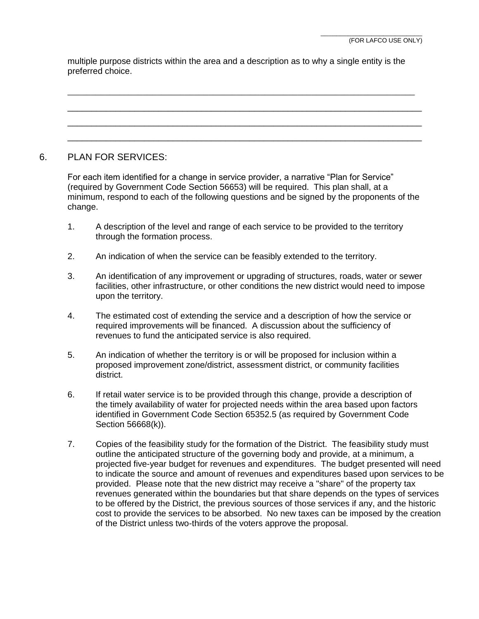multiple purpose districts within the area and a description as to why a single entity is the preferred choice.

\_\_\_\_\_\_\_\_\_\_\_\_\_\_\_\_\_\_\_\_\_\_\_\_\_\_\_\_\_\_\_\_\_\_\_\_\_\_\_\_\_\_\_\_\_\_\_\_\_\_\_\_\_\_\_\_\_\_\_\_\_\_\_\_\_\_\_\_\_\_\_\_\_\_

\_\_\_\_\_\_\_\_\_\_\_\_\_\_\_\_\_\_\_\_\_\_\_\_\_\_\_\_\_\_\_\_\_\_\_\_\_\_\_\_\_\_\_\_\_\_\_\_\_\_\_\_\_\_\_\_\_\_\_\_\_\_\_\_\_\_\_\_\_\_\_\_\_\_ \_\_\_\_\_\_\_\_\_\_\_\_\_\_\_\_\_\_\_\_\_\_\_\_\_\_\_\_\_\_\_\_\_\_\_\_\_\_\_\_\_\_\_\_\_\_\_\_\_\_\_\_\_\_\_\_\_\_\_\_\_\_\_\_\_\_\_\_\_\_\_\_\_\_ \_\_\_\_\_\_\_\_\_\_\_\_\_\_\_\_\_\_\_\_\_\_\_\_\_\_\_\_\_\_\_\_\_\_\_\_\_\_\_\_\_\_\_\_\_\_\_\_\_\_\_\_\_\_\_\_\_\_\_\_\_\_\_\_\_\_\_\_\_\_\_\_\_\_

## 6. PLAN FOR SERVICES:

For each item identified for a change in service provider, a narrative "Plan for Service" (required by Government Code Section 56653) will be required. This plan shall, at a minimum, respond to each of the following questions and be signed by the proponents of the change.

- 1. A description of the level and range of each service to be provided to the territory through the formation process.
- 2. An indication of when the service can be feasibly extended to the territory.
- 3. An identification of any improvement or upgrading of structures, roads, water or sewer facilities, other infrastructure, or other conditions the new district would need to impose upon the territory.
- 4. The estimated cost of extending the service and a description of how the service or required improvements will be financed. A discussion about the sufficiency of revenues to fund the anticipated service is also required.
- 5. An indication of whether the territory is or will be proposed for inclusion within a proposed improvement zone/district, assessment district, or community facilities district.
- 6. If retail water service is to be provided through this change, provide a description of the timely availability of water for projected needs within the area based upon factors identified in Government Code Section 65352.5 (as required by Government Code Section 56668(k)).
- 7. Copies of the feasibility study for the formation of the District. The feasibility study must outline the anticipated structure of the governing body and provide, at a minimum, a projected five-year budget for revenues and expenditures. The budget presented will need to indicate the source and amount of revenues and expenditures based upon services to be provided. Please note that the new district may receive a "share" of the property tax revenues generated within the boundaries but that share depends on the types of services to be offered by the District, the previous sources of those services if any, and the historic cost to provide the services to be absorbed. No new taxes can be imposed by the creation of the District unless two-thirds of the voters approve the proposal.